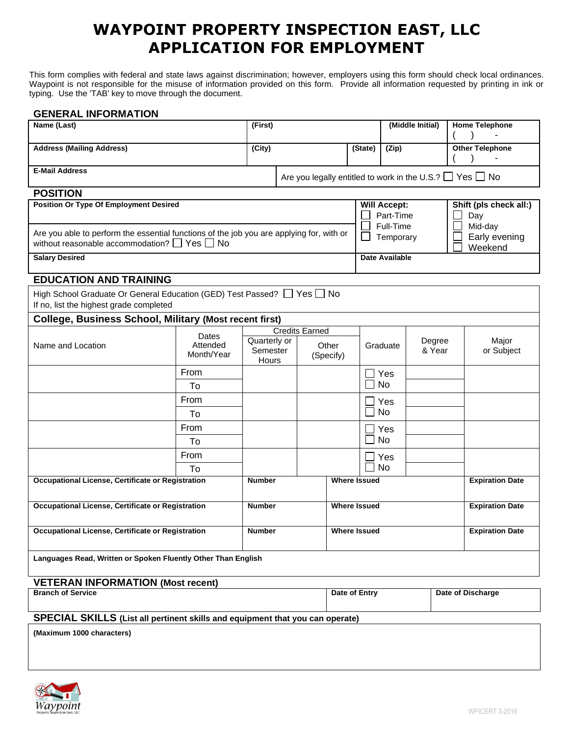## **WAYPOINT PROPERTY INSPECTION EAST, LLC APPLICATION FOR EMPLOYMENT**

This form complies with federal and state laws against discrimination; however, employers using this form should check local ordinances. Waypoint is not responsible for the misuse of information provided on this form. Provide all information requested by printing in ink or typing. Use the 'TAB' key to move through the document.

## **GENERAL INFORMATION**

| Name (Last)                                                                                                                              |                        | (First)               |                                    |                     | (Middle Initial)    |                                               | <b>Home Telephone</b>  |                                          |
|------------------------------------------------------------------------------------------------------------------------------------------|------------------------|-----------------------|------------------------------------|---------------------|---------------------|-----------------------------------------------|------------------------|------------------------------------------|
| <b>Address (Mailing Address)</b>                                                                                                         |                        | (City)                |                                    |                     | (State)             | $\overline{(Zip)}$                            |                        | <b>Other Telephone</b>                   |
|                                                                                                                                          |                        |                       |                                    |                     |                     |                                               |                        |                                          |
| <b>E-Mail Address</b><br>Are you legally entitled to work in the U.S.? $\Box$ Yes $\Box$ No                                              |                        |                       |                                    |                     |                     |                                               |                        |                                          |
| <b>POSITION</b>                                                                                                                          |                        |                       |                                    |                     |                     |                                               |                        |                                          |
| <b>Position Or Type Of Employment Desired</b>                                                                                            |                        |                       |                                    |                     |                     | <b>Will Accept:</b><br>Part-Time<br>Full-Time |                        | Shift (pls check all:)<br>Day<br>Mid-day |
| Are you able to perform the essential functions of the job you are applying for, with or<br>without reasonable accommodation? □ Yes □ No |                        |                       |                                    |                     |                     | Temporary                                     |                        | Early evening<br>Weekend                 |
| <b>Salary Desired</b>                                                                                                                    |                        |                       |                                    |                     | Date Available      |                                               |                        |                                          |
| <b>EDUCATION AND TRAINING</b>                                                                                                            |                        |                       |                                    |                     |                     |                                               |                        |                                          |
| High School Graduate Or General Education (GED) Test Passed? Ves No<br>If no, list the highest grade completed                           |                        |                       |                                    |                     |                     |                                               |                        |                                          |
| <b>College, Business School, Military (Most recent first)</b>                                                                            |                        |                       |                                    |                     |                     |                                               |                        |                                          |
|                                                                                                                                          | Dates                  | <b>Credits Earned</b> |                                    |                     |                     |                                               |                        |                                          |
| Name and Location                                                                                                                        | Attended<br>Month/Year | Semester<br>Hours     | Quarterly or<br>Other<br>(Specify) |                     |                     | Graduate                                      | Degree<br>& Year       | Major<br>or Subject                      |
|                                                                                                                                          | From                   |                       |                                    |                     |                     | $\sqcup$ Yes                                  |                        |                                          |
|                                                                                                                                          | To                     |                       |                                    |                     |                     | <b>No</b>                                     |                        |                                          |
|                                                                                                                                          | From                   |                       |                                    |                     |                     | Yes                                           |                        |                                          |
|                                                                                                                                          | To                     |                       |                                    |                     |                     | <b>No</b>                                     |                        |                                          |
|                                                                                                                                          | From                   |                       |                                    |                     |                     | Yes                                           |                        |                                          |
|                                                                                                                                          | To                     |                       |                                    |                     |                     | <b>No</b>                                     |                        |                                          |
|                                                                                                                                          | From                   |                       |                                    |                     |                     | Yes                                           |                        |                                          |
|                                                                                                                                          | Т٥                     |                       |                                    |                     |                     | <b>No</b>                                     |                        |                                          |
| Occupational License, Certificate or Registration                                                                                        |                        | <b>Number</b>         |                                    | <b>Where Issued</b> |                     |                                               | <b>Expiration Date</b> |                                          |
| Occupational License, Certificate or Registration                                                                                        |                        | <b>Number</b>         |                                    |                     | <b>Where Issued</b> |                                               |                        | <b>Expiration Date</b>                   |
| Occupational License, Certificate or Registration                                                                                        |                        | <b>Number</b>         |                                    |                     | <b>Where Issued</b> |                                               | <b>Expiration Date</b> |                                          |
| Languages Read, Written or Spoken Fluently Other Than English                                                                            |                        |                       |                                    |                     |                     |                                               |                        |                                          |
| <b>VETERAN INFORMATION (Most recent)</b>                                                                                                 |                        |                       |                                    |                     |                     |                                               |                        |                                          |
| <b>Branch of Service</b>                                                                                                                 |                        |                       |                                    |                     | Date of Entry       | Date of Discharge                             |                        |                                          |

**(Maximum 1000 characters)** 

**SPECIAL SKILLS (List all pertinent skills and equipment that you can operate)**